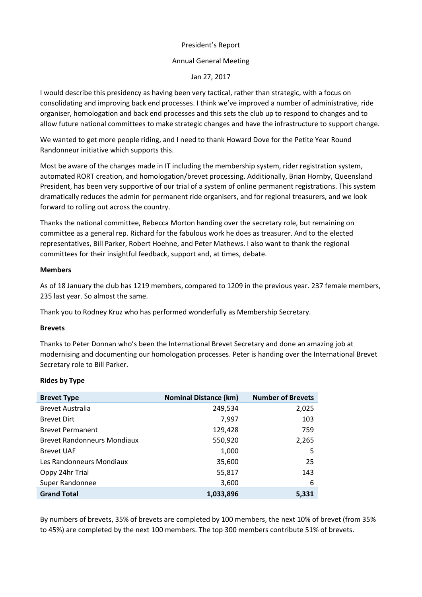# President's Report

### Annual General Meeting

Jan 27, 2017

I would describe this presidency as having been very tactical, rather than strategic, with a focus on consolidating and improving back end processes. I think we've improved a number of administrative, ride organiser, homologation and back end processes and this sets the club up to respond to changes and to allow future national committees to make strategic changes and have the infrastructure to support change.

We wanted to get more people riding, and I need to thank Howard Dove for the Petite Year Round Randonneur initiative which supports this.

Most be aware of the changes made in IT including the membership system, rider registration system, automated RORT creation, and homologation/brevet processing. Additionally, Brian Hornby, Queensland President, has been very supportive of our trial of a system of online permanent registrations. This system dramatically reduces the admin for permanent ride organisers, and for regional treasurers, and we look forward to rolling out across the country.

Thanks the national committee, Rebecca Morton handing over the secretary role, but remaining on committee as a general rep. Richard for the fabulous work he does as treasurer. And to the elected representatives, Bill Parker, Robert Hoehne, and Peter Mathews. I also want to thank the regional committees for their insightful feedback, support and, at times, debate.

#### **Members**

As of 18 January the club has 1219 members, compared to 1209 in the previous year. 237 female members, 235 last year. So almost the same.

Thank you to Rodney Kruz who has performed wonderfully as Membership Secretary.

#### **Brevets**

Thanks to Peter Donnan who's been the International Brevet Secretary and done an amazing job at modernising and documenting our homologation processes. Peter is handing over the International Brevet Secretary role to Bill Parker.

### **Rides by Type**

| <b>Brevet Type</b>                 | <b>Nominal Distance (km)</b> | <b>Number of Brevets</b> |
|------------------------------------|------------------------------|--------------------------|
| <b>Brevet Australia</b>            | 249,534                      | 2,025                    |
| <b>Brevet Dirt</b>                 | 7,997                        | 103                      |
| <b>Brevet Permanent</b>            | 129,428                      | 759                      |
| <b>Brevet Randonneurs Mondiaux</b> | 550,920                      | 2,265                    |
| <b>Brevet UAF</b>                  | 1,000                        | 5                        |
| Les Randonneurs Mondiaux           | 35,600                       | 25                       |
| Oppy 24hr Trial                    | 55,817                       | 143                      |
| Super Randonnee                    | 3,600                        | 6                        |
| <b>Grand Total</b>                 | 1,033,896                    | 5.331                    |

By numbers of brevets, 35% of brevets are completed by 100 members, the next 10% of brevet (from 35% to 45%) are completed by the next 100 members. The top 300 members contribute 51% of brevets.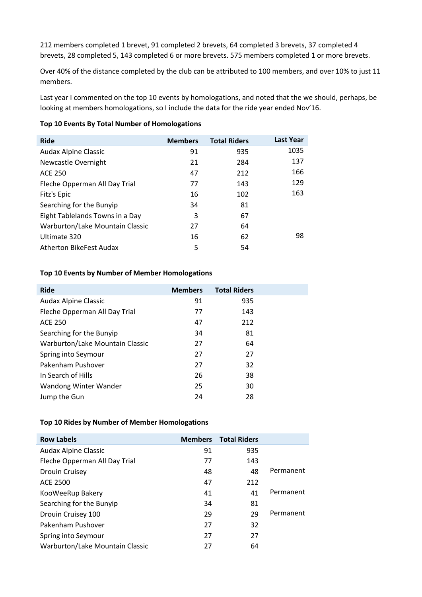212 members completed 1 brevet, 91 completed 2 brevets, 64 completed 3 brevets, 37 completed 4 brevets, 28 completed 5, 143 completed 6 or more brevets. 575 members completed 1 or more brevets.

Over 40% of the distance completed by the club can be attributed to 100 members, and over 10% to just 11 members.

Last year I commented on the top 10 events by homologations, and noted that the we should, perhaps, be looking at members homologations, so I include the data for the ride year ended Nov'16.

### **Top 10 Events By Total Number of Homologations**

| <b>Ride</b>                     | <b>Members</b> | <b>Total Riders</b> | <b>Last Year</b> |
|---------------------------------|----------------|---------------------|------------------|
| <b>Audax Alpine Classic</b>     | 91             | 935                 | 1035             |
| Newcastle Overnight             | 21             | 284                 | 137              |
| <b>ACE 250</b>                  | 47             | 212                 | 166              |
| Fleche Opperman All Day Trial   | 77             | 143                 | 129              |
| Fitz's Epic                     | 16             | 102                 | 163              |
| Searching for the Bunyip        | 34             | 81                  |                  |
| Eight Tablelands Towns in a Day | 3              | 67                  |                  |
| Warburton/Lake Mountain Classic | 27             | 64                  |                  |
| Ultimate 320                    | 16             | 62                  | 98               |
| Atherton BikeFest Audax         | 5              | 54                  |                  |

### **Top 10 Events by Number of Member Homologations**

| <b>Ride</b>                     | <b>Members</b> | <b>Total Riders</b> |  |
|---------------------------------|----------------|---------------------|--|
| <b>Audax Alpine Classic</b>     | 91             | 935                 |  |
| Fleche Opperman All Day Trial   | 77             | 143                 |  |
| <b>ACE 250</b>                  | 47             | 212                 |  |
| Searching for the Bunyip        | 34             | 81                  |  |
| Warburton/Lake Mountain Classic | 27             | 64                  |  |
| Spring into Seymour             | 27             | 27                  |  |
| Pakenham Pushover               | 27             | 32                  |  |
| In Search of Hills              | 26             | 38                  |  |
| Wandong Winter Wander           | 25             | 30                  |  |
| Jump the Gun                    | 24             | 28                  |  |

### **Top 10 Rides by Number of Member Homologations**

| <b>Row Labels</b>               |    | <b>Members</b> Total Riders |           |
|---------------------------------|----|-----------------------------|-----------|
| <b>Audax Alpine Classic</b>     | 91 | 935                         |           |
| Fleche Opperman All Day Trial   | 77 | 143                         |           |
| <b>Drouin Cruisey</b>           | 48 | 48                          | Permanent |
| ACE 2500                        | 47 | 212                         |           |
| KooWeeRup Bakery                | 41 | 41                          | Permanent |
| Searching for the Bunyip        | 34 | 81                          |           |
| Drouin Cruisey 100              | 29 | 29                          | Permanent |
| Pakenham Pushover               | 27 | 32                          |           |
| Spring into Seymour             | 27 | 27                          |           |
| Warburton/Lake Mountain Classic | 27 | 64                          |           |